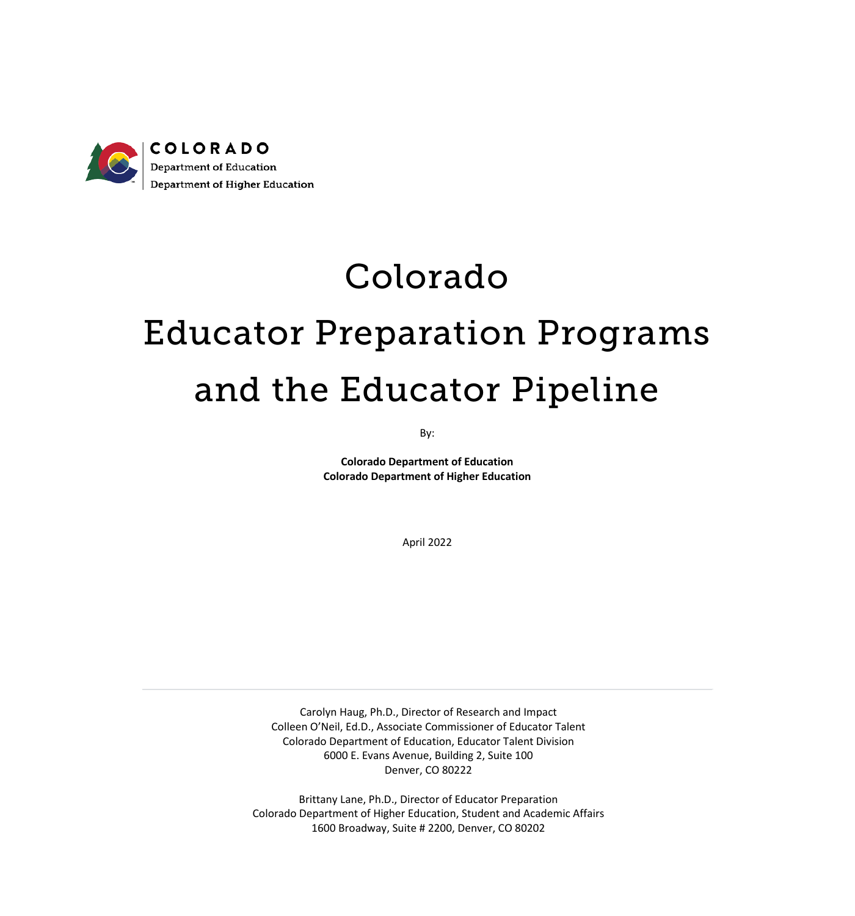

## Colorado

# Educator Preparation Programs and the Educator Pipeline

By:

**Colorado Department of Education Colorado Department of Higher Education**

April 2022

Carolyn Haug, Ph.D., Director of Research and Impact Colleen O'Neil, Ed.D., Associate Commissioner of Educator Talent Colorado Department of Education, Educator Talent Division 6000 E. Evans Avenue, Building 2, Suite 100 Denver, CO 80222

Brittany Lane, Ph.D., Director of Educator Preparation Colorado Department of Higher Education, Student and Academic Affairs 1600 Broadway, Suite # 2200, Denver, CO 80202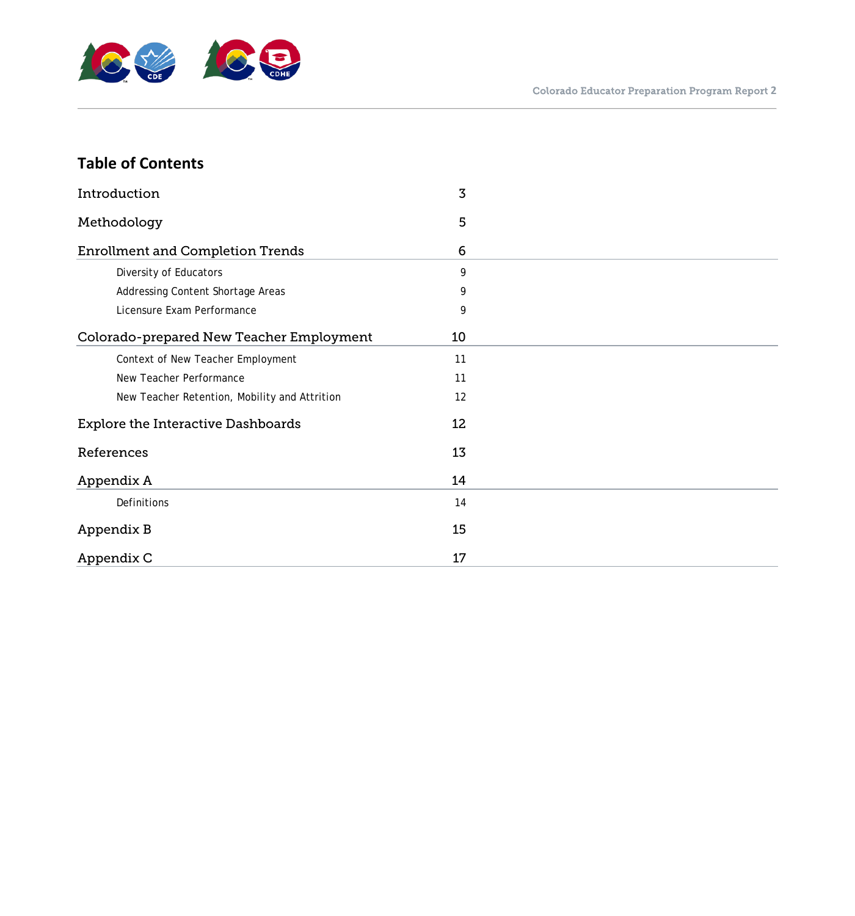

## **Table of Contents**

| Introduction                                  | 3  |  |
|-----------------------------------------------|----|--|
| Methodology                                   | 5  |  |
| <b>Enrollment and Completion Trends</b>       | 6  |  |
| Diversity of Educators                        | 9  |  |
| Addressing Content Shortage Areas             | 9  |  |
| Licensure Exam Performance                    | 9  |  |
| Colorado-prepared New Teacher Employment      | 10 |  |
| Context of New Teacher Employment             | 11 |  |
| New Teacher Performance                       | 11 |  |
| New Teacher Retention, Mobility and Attrition | 12 |  |
| <b>Explore the Interactive Dashboards</b>     | 12 |  |
| References                                    | 13 |  |
| Appendix A                                    | 14 |  |
| Definitions                                   | 14 |  |
| Appendix B                                    | 15 |  |
| Appendix C                                    | 17 |  |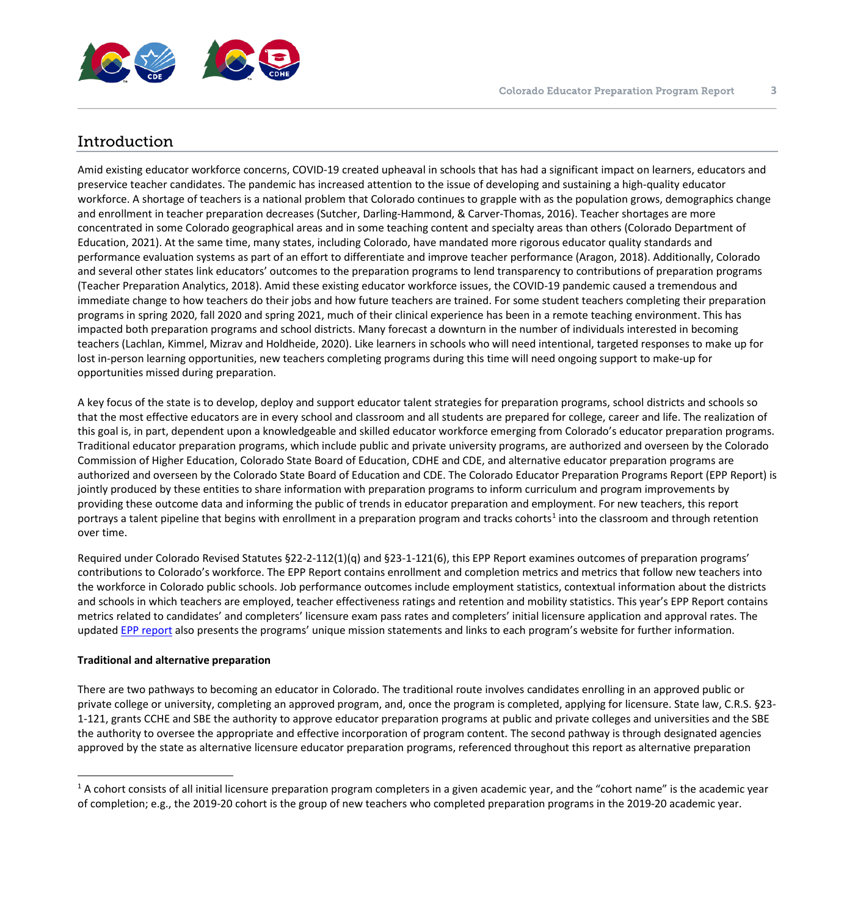

## <span id="page-2-1"></span><span id="page-2-0"></span>Introduction

Amid existing educator workforce concerns, COVID-19 created upheaval in schools that has had a significant impact on learners, educators and preservice teacher candidates. The pandemic has increased attention to the issue of developing and sustaining a high-quality educator workforce. A shortage of teachers is a national problem that Colorado continues to grapple with as the population grows, demographics change and enrollment in teacher preparation decreases (Sutcher, Darling-Hammond, & Carver-Thomas, 2016). Teacher shortages are more concentrated in some Colorado geographical areas and in some teaching content and specialty areas than others (Colorado Department of Education, 2021). At the same time, many states, including Colorado, have mandated more rigorous educator quality standards and performance evaluation systems as part of an effort to differentiate and improve teacher performance (Aragon, 2018). Additionally, Colorado and several other states link educators' outcomes to the preparation programs to lend transparency to contributions of preparation programs (Teacher Preparation Analytics, 2018). Amid these existing educator workforce issues, the COVID-19 pandemic caused a tremendous and immediate change to how teachers do their jobs and how future teachers are trained. For some student teachers completing their preparation programs in spring 2020, fall 2020 and spring 2021, much of their clinical experience has been in a remote teaching environment. This has impacted both preparation programs and school districts. Many forecast a downturn in the number of individuals interested in becoming teachers (Lachlan, Kimmel, Mizrav and Holdheide, 2020). Like learners in schools who will need intentional, targeted responses to make up for lost in-person learning opportunities, new teachers completing programs during this time will need ongoing support to make-up for opportunities missed during preparation.

A key focus of the state is to develop, deploy and support educator talent strategies for preparation programs, school districts and schools so that the most effective educators are in every school and classroom and all students are prepared for college, career and life. The realization of this goal is, in part, dependent upon a knowledgeable and skilled educator workforce emerging from Colorado's educator preparation programs. Traditional educator preparation programs, which include public and private university programs, are authorized and overseen by the Colorado Commission of Higher Education, Colorado State Board of Education, CDHE and CDE, and alternative educator preparation programs are authorized and overseen by the Colorado State Board of Education and CDE. The Colorado Educator Preparation Programs Report (EPP Report) is jointly produced by these entities to share information with preparation programs to inform curriculum and program improvements by providing these outcome data and informing the public of trends in educator preparation and employment. For new teachers, this report portrays a talent pipeline that begins with enrollment in a preparation program and tracks cohorts<sup>[1](#page-2-1)</sup> into the classroom and through retention over time.

Required under Colorado Revised Statutes §22-2-112(1)(q) and §23-1-121(6), this EPP Report examines outcomes of preparation programs' contributions to Colorado's workforce. The EPP Report contains enrollment and completion metrics and metrics that follow new teachers into the workforce in Colorado public schools. Job performance outcomes include employment statistics, contextual information about the districts and schools in which teachers are employed, teacher effectiveness ratings and retention and mobility statistics. This year's EPP Report contains metrics related to candidates' and completers' licensure exam pass rates and completers' initial licensure application and approval rates. The updated EPP [report](https://www.cde.state.co.us/code/eppreport) also presents the programs' unique mission statements and links to each program's website for further information.

#### **Traditional and alternative preparation**

There are two pathways to becoming an educator in Colorado. The traditional route involves candidates enrolling in an approved public or private college or university, completing an approved program, and, once the program is completed, applying for licensure. State law, C.R.S. §23- 1-121, grants CCHE and SBE the authority to approve educator preparation programs at public and private colleges and universities and the SBE the authority to oversee the appropriate and effective incorporation of program content. The second pathway is through designated agencies approved by the state as alternative licensure educator preparation programs, referenced throughout this report as alternative preparation

 $1$  A cohort consists of all initial licensure preparation program completers in a given academic year, and the "cohort name" is the academic year of completion; e.g., the 2019-20 cohort is the group of new teachers who completed preparation programs in the 2019-20 academic year.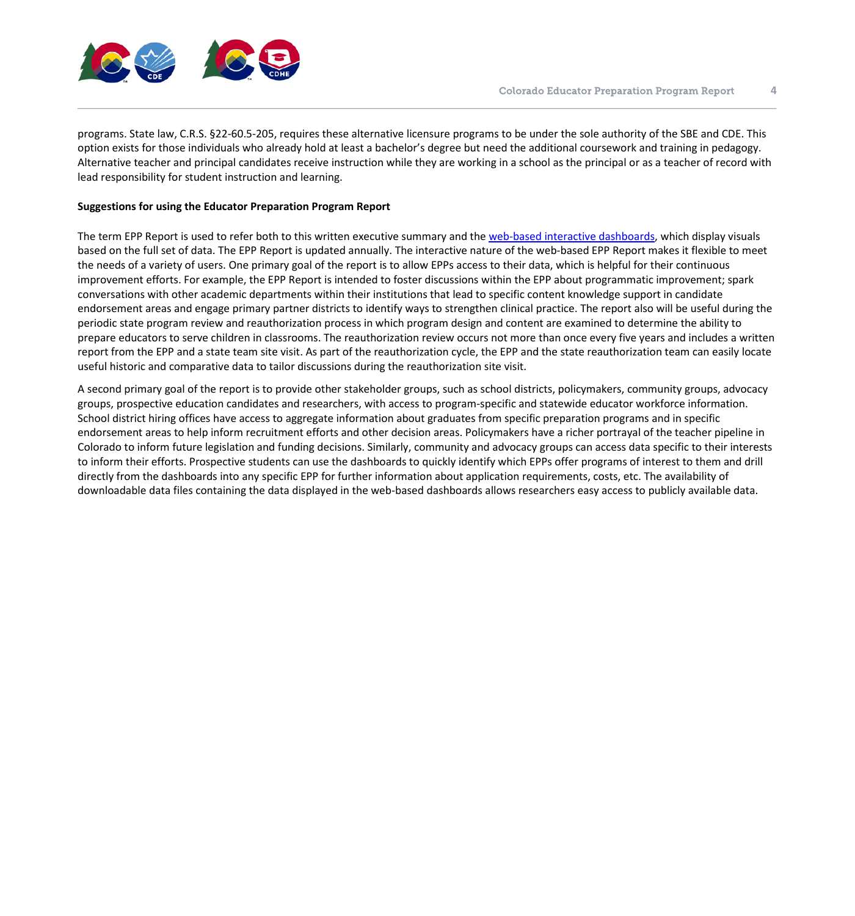

programs. State law, C.R.S. §22-60.5-205, requires these alternative licensure programs to be under the sole authority of the SBE and CDE. This option exists for those individuals who already hold at least a bachelor's degree but need the additional coursework and training in pedagogy. Alternative teacher and principal candidates receive instruction while they are working in a school as the principal or as a teacher of record with lead responsibility for student instruction and learning.

#### **Suggestions for using the Educator Preparation Program Report**

The term EPP Report is used to refer both to this written executive summary and the [web-based interactive](https://www.cde.state.co.us/code/eppreport) dashboards, which display visuals based on the full set of data. The EPP Report is updated annually. The interactive nature of the web-based EPP Report makes it flexible to meet the needs of a variety of users. One primary goal of the report is to allow EPPs access to their data, which is helpful for their continuous improvement efforts. For example, the EPP Report is intended to foster discussions within the EPP about programmatic improvement; spark conversations with other academic departments within their institutions that lead to specific content knowledge support in candidate endorsement areas and engage primary partner districts to identify ways to strengthen clinical practice. The report also will be useful during the periodic state program review and reauthorization process in which program design and content are examined to determine the ability to prepare educators to serve children in classrooms. The reauthorization review occurs not more than once every five years and includes a written report from the EPP and a state team site visit. As part of the reauthorization cycle, the EPP and the state reauthorization team can easily locate useful historic and comparative data to tailor discussions during the reauthorization site visit.

A second primary goal of the report is to provide other stakeholder groups, such as school districts, policymakers, community groups, advocacy groups, prospective education candidates and researchers, with access to program-specific and statewide educator workforce information. School district hiring offices have access to aggregate information about graduates from specific preparation programs and in specific endorsement areas to help inform recruitment efforts and other decision areas. Policymakers have a richer portrayal of the teacher pipeline in Colorado to inform future legislation and funding decisions. Similarly, community and advocacy groups can access data specific to their interests to inform their efforts. Prospective students can use the dashboards to quickly identify which EPPs offer programs of interest to them and drill directly from the dashboards into any specific EPP for further information about application requirements, costs, etc. The availability of downloadable data files containing the data displayed in the web-based dashboards allows researchers easy access to publicly available data.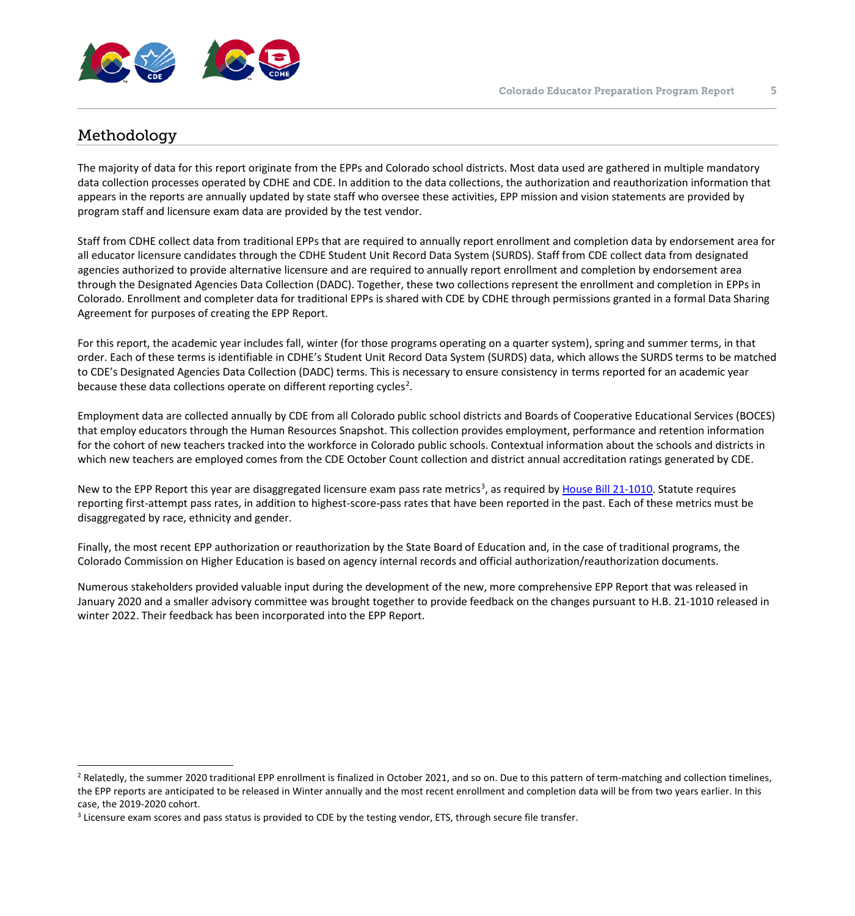

## <span id="page-4-2"></span><span id="page-4-1"></span><span id="page-4-0"></span>Methodology

The majority of data for this report originate from the EPPs and Colorado school districts. Most data used are gathered in multiple mandatory data collection processes operated by CDHE and CDE. In addition to the data collections, the authorization and reauthorization information that appears in the reports are annually updated by state staff who oversee these activities, EPP mission and vision statements are provided by program staff and licensure exam data are provided by the test vendor.

Staff from CDHE collect data from traditional EPPs that are required to annually report enrollment and completion data by endorsement area for all educator licensure candidates through the CDHE Student Unit Record Data System (SURDS). Staff from CDE collect data from designated agencies authorized to provide alternative licensure and are required to annually report enrollment and completion by endorsement area through the Designated Agencies Data Collection (DADC). Together, these two collections represent the enrollment and completion in EPPs in Colorado. Enrollment and completer data for traditional EPPs is shared with CDE by CDHE through permissions granted in a formal Data Sharing Agreement for purposes of creating the EPP Report.

For this report, the academic year includes fall, winter (for those programs operating on a quarter system), spring and summer terms, in that order. Each of these terms is identifiable in CDHE's Student Unit Record Data System (SURDS) data, which allows the SURDS terms to be matched to CDE's Designated Agencies Data Collection (DADC) terms. This is necessary to ensure consistency in terms reported for an academic year because these data collections operate on different reporting cycles<sup>[2](#page-4-1)</sup>.

Employment data are collected annually by CDE from all Colorado public school districts and Boards of Cooperative Educational Services (BOCES) that employ educators through the Human Resources Snapshot. This collection provides employment, performance and retention information for the cohort of new teachers tracked into the workforce in Colorado public schools. Contextual information about the schools and districts in which new teachers are employed comes from the CDE October Count collection and district annual accreditation ratings generated by CDE.

New to the EPP Report this year are disaggregated licensure exam pass rate metrics<sup>[3](#page-4-2)</sup>, as required by [House Bill 21-1010.](https://leg.colorado.gov/sites/default/files/2021a_1010_signed.pdf) Statute requires reporting first-attempt pass rates, in addition to highest-score-pass rates that have been reported in the past. Each of these metrics must be disaggregated by race, ethnicity and gender.

Finally, the most recent EPP authorization or reauthorization by the State Board of Education and, in the case of traditional programs, the Colorado Commission on Higher Education is based on agency internal records and official authorization/reauthorization documents.

Numerous stakeholders provided valuable input during the development of the new, more comprehensive EPP Report that was released in January 2020 and a smaller advisory committee was brought together to provide feedback on the changes pursuant to H.B. 21-1010 released in winter 2022. Their feedback has been incorporated into the EPP Report.

<sup>&</sup>lt;sup>2</sup> Relatedly, the summer 2020 traditional EPP enrollment is finalized in October 2021, and so on. Due to this pattern of term-matching and collection timelines, the EPP reports are anticipated to be released in Winter annually and the most recent enrollment and completion data will be from two years earlier. In this case, the 2019-2020 cohort.

 $3$  Licensure exam scores and pass status is provided to CDE by the testing vendor, ETS, through secure file transfer.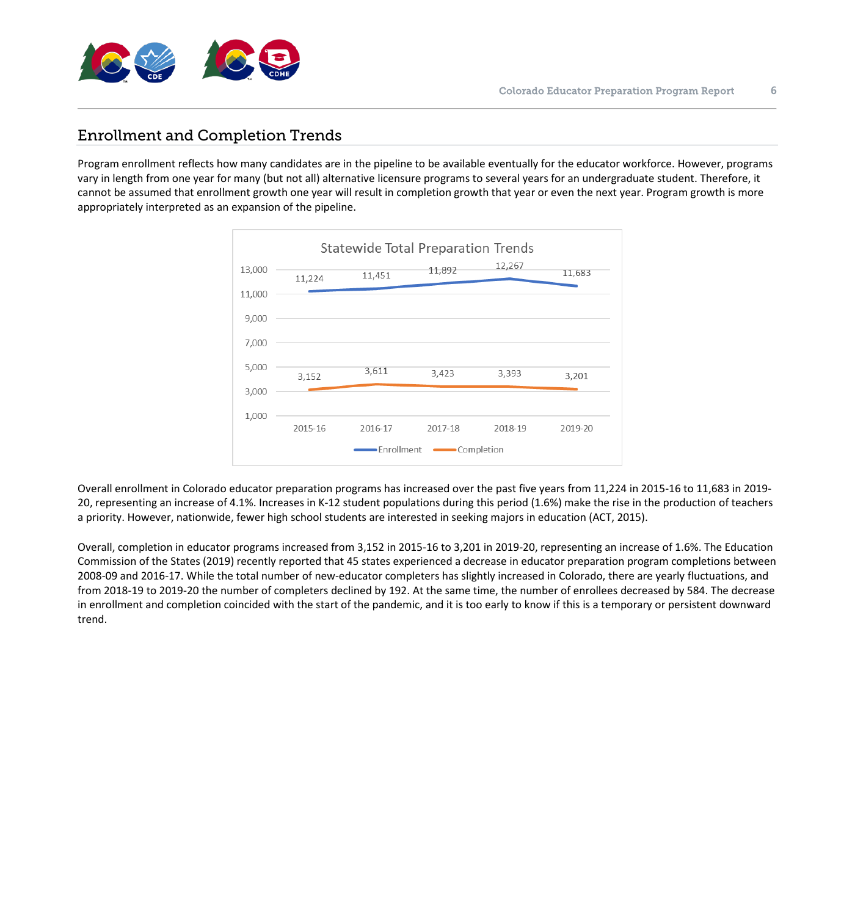

## <span id="page-5-0"></span>Enrollment and Completion Trends

Program enrollment reflects how many candidates are in the pipeline to be available eventually for the educator workforce. However, programs vary in length from one year for many (but not all) alternative licensure programs to several years for an undergraduate student. Therefore, it cannot be assumed that enrollment growth one year will result in completion growth that year or even the next year. Program growth is more appropriately interpreted as an expansion of the pipeline.



Overall enrollment in Colorado educator preparation programs has increased over the past five years from 11,224 in 2015-16 to 11,683 in 2019- 20, representing an increase of 4.1%. Increases in K-12 student populations during this period (1.6%) make the rise in the production of teachers a priority. However, nationwide, fewer high school students are interested in seeking majors in education (ACT, 2015).

Overall, completion in educator programs increased from 3,152 in 2015-16 to 3,201 in 2019-20, representing an increase of 1.6%. The Education Commission of the States (2019) recently reported that 45 states experienced a decrease in educator preparation program completions between 2008-09 and 2016-17. While the total number of new-educator completers has slightly increased in Colorado, there are yearly fluctuations, and from 2018-19 to 2019-20 the number of completers declined by 192. At the same time, the number of enrollees decreased by 584. The decrease in enrollment and completion coincided with the start of the pandemic, and it is too early to know if this is a temporary or persistent downward trend.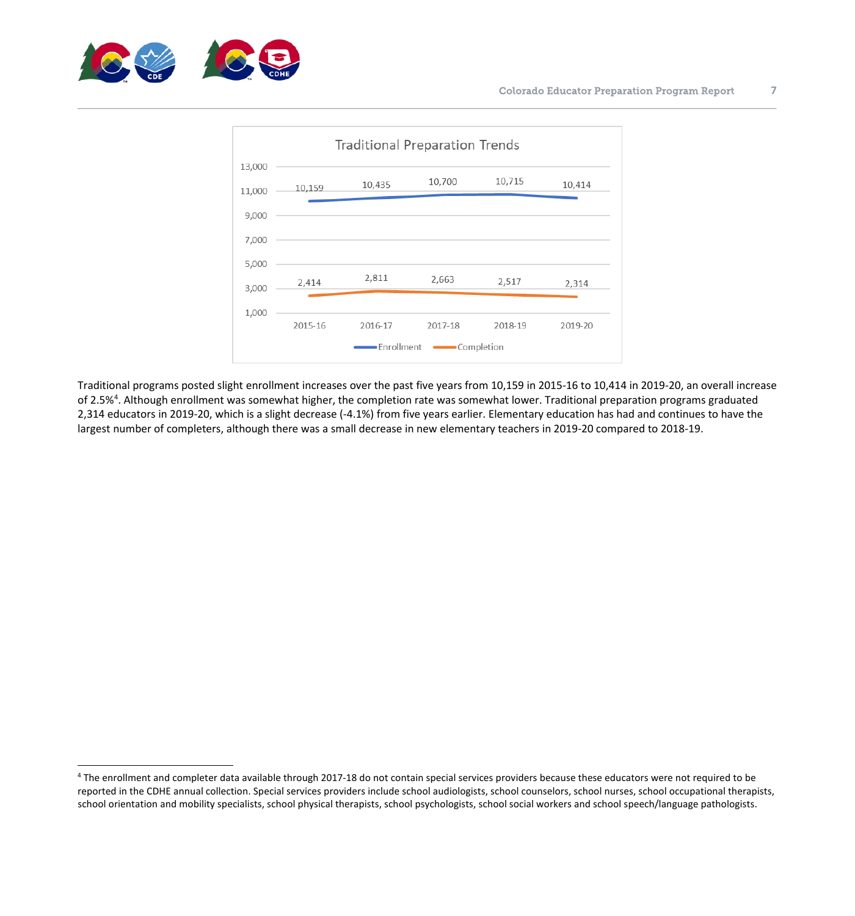

<span id="page-6-0"></span>

Traditional programs posted slight enrollment increases over the past five years from 10,159 in 2015-16 to 10,414 in 2019-20, an overall increase of 2.5%<sup>[4](#page-6-0)</sup>. Although enrollment was somewhat higher, the completion rate was somewhat lower. Traditional preparation programs graduated 2,314 educators in 2019-20, which is a slight decrease (-4.1%) from five years earlier. Elementary education has had and continues to have the largest number of completers, although there was a small decrease in new elementary teachers in 2019-20 compared to 2018-19.

<sup>&</sup>lt;sup>4</sup> The enrollment and completer data available through 2017-18 do not contain special services providers because these educators were not required to be reported in the CDHE annual collection. Special services providers include school audiologists, school counselors, school nurses, school occupational therapists, school orientation and mobility specialists, school physical therapists, school psychologists, school social workers and school speech/language pathologists.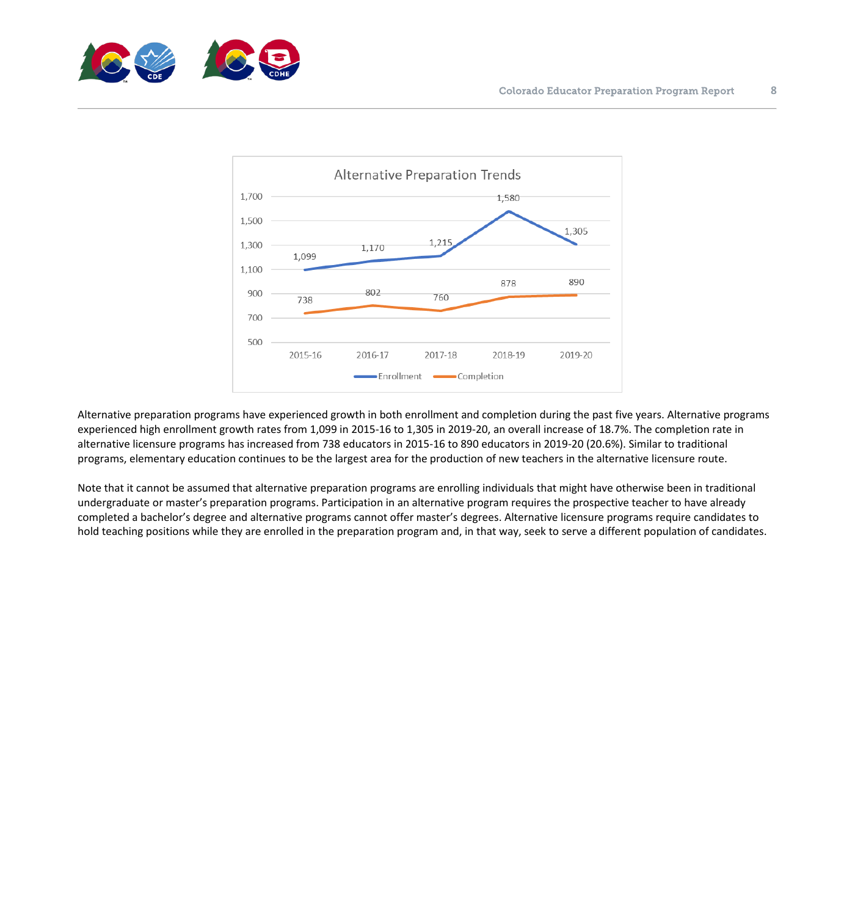



Alternative preparation programs have experienced growth in both enrollment and completion during the past five years. Alternative programs experienced high enrollment growth rates from 1,099 in 2015-16 to 1,305 in 2019-20, an overall increase of 18.7%. The completion rate in alternative licensure programs has increased from 738 educators in 2015-16 to 890 educators in 2019-20 (20.6%). Similar to traditional programs, elementary education continues to be the largest area for the production of new teachers in the alternative licensure route.

Note that it cannot be assumed that alternative preparation programs are enrolling individuals that might have otherwise been in traditional undergraduate or master's preparation programs. Participation in an alternative program requires the prospective teacher to have already completed a bachelor's degree and alternative programs cannot offer master's degrees. Alternative licensure programs require candidates to hold teaching positions while they are enrolled in the preparation program and, in that way, seek to serve a different population of candidates.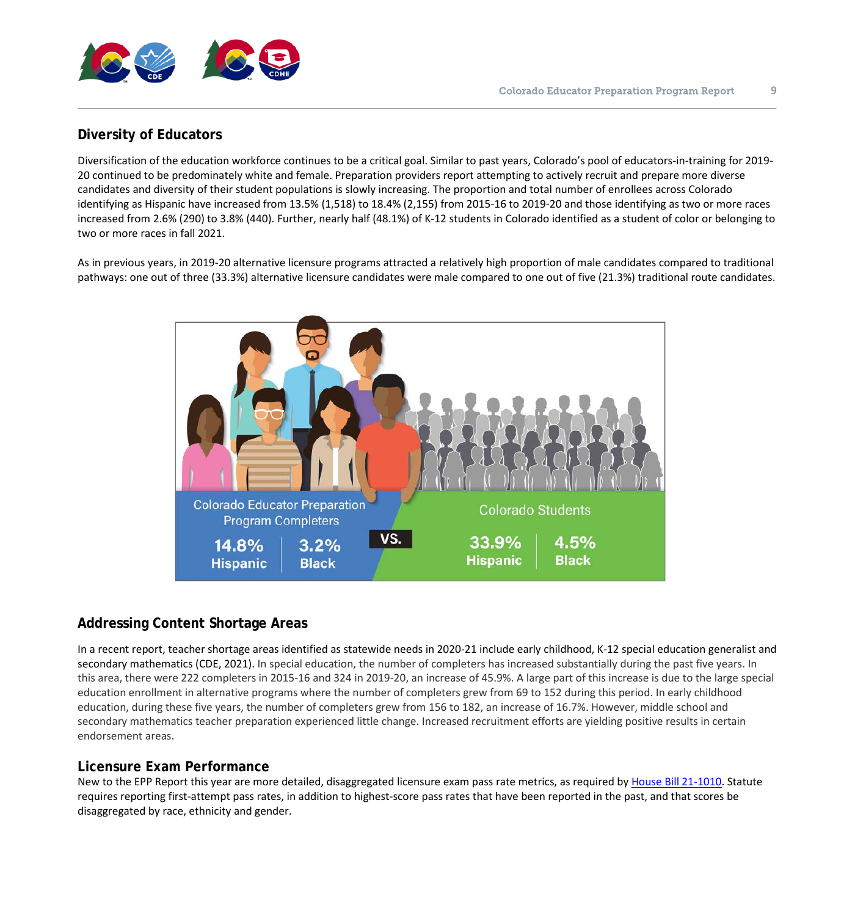

## <span id="page-8-0"></span>**Diversity of Educators**

Diversification of the education workforce continues to be a critical goal. Similar to past years, Colorado's pool of educators-in-training for 2019- 20 continued to be predominately white and female. Preparation providers report attempting to actively recruit and prepare more diverse candidates and diversity of their student populations is slowly increasing. The proportion and total number of enrollees across Colorado identifying as Hispanic have increased from 13.5% (1,518) to 18.4% (2,155) from 2015-16 to 2019-20 and those identifying as two or more races increased from 2.6% (290) to 3.8% (440). Further, nearly half (48.1%) of K-12 students in Colorado identified as a student of color or belonging to two or more races in fall 2021.

As in previous years, in 2019-20 alternative licensure programs attracted a relatively high proportion of male candidates compared to traditional pathways: one out of three (33.3%) alternative licensure candidates were male compared to one out of five (21.3%) traditional route candidates.



## <span id="page-8-1"></span>**Addressing Content Shortage Areas**

In a recent report, teacher shortage areas identified as statewide needs in 2020-21 include early childhood, K-12 special education generalist and secondary mathematics (CDE, 2021). In special education, the number of completers has increased substantially during the past five years. In this area, there were 222 completers in 2015-16 and 324 in 2019-20, an increase of 45.9%. A large part of this increase is due to the large special education enrollment in alternative programs where the number of completers grew from 69 to 152 during this period. In early childhood education, during these five years, the number of completers grew from 156 to 182, an increase of 16.7%. However, middle school and secondary mathematics teacher preparation experienced little change. Increased recruitment efforts are yielding positive results in certain endorsement areas.

#### <span id="page-8-2"></span>**Licensure Exam Performance**

New to the EPP Report this year are more detailed, disaggregated licensure exam pass rate metrics, as required by [House Bill 21-1010.](https://leg.colorado.gov/sites/default/files/2021a_1010_signed.pdf) Statute requires reporting first-attempt pass rates, in addition to highest-score pass rates that have been reported in the past, and that scores be disaggregated by race, ethnicity and gender.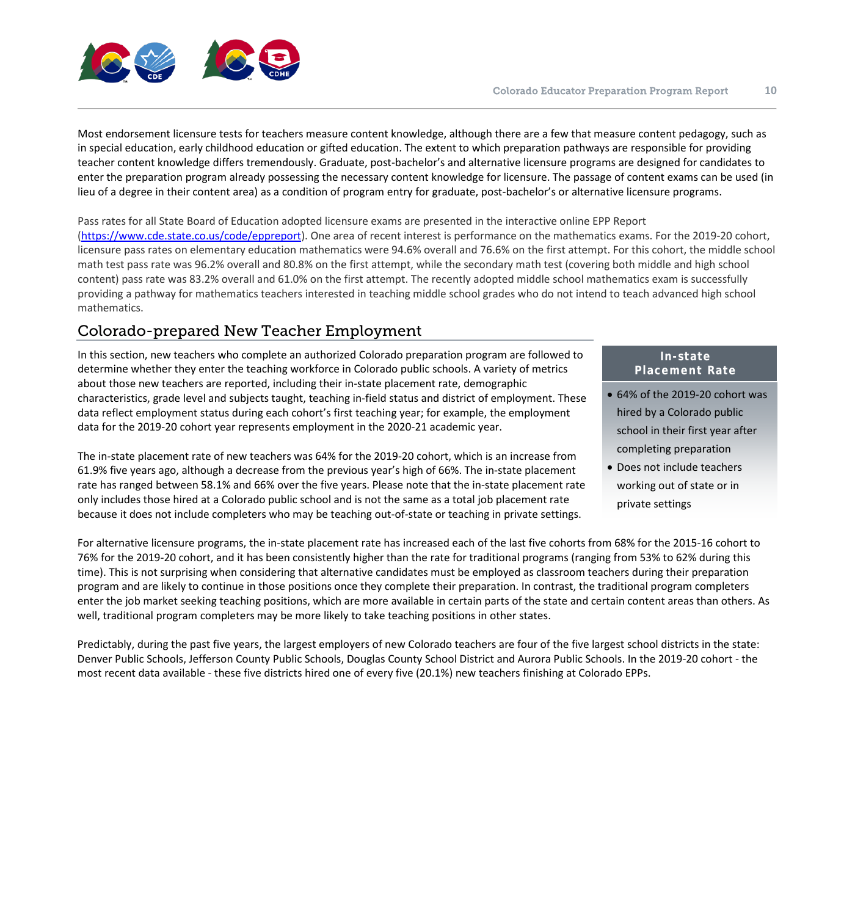

Most endorsement licensure tests for teachers measure content knowledge, although there are a few that measure content pedagogy, such as in special education, early childhood education or gifted education. The extent to which preparation pathways are responsible for providing teacher content knowledge differs tremendously. Graduate, post-bachelor's and alternative licensure programs are designed for candidates to enter the preparation program already possessing the necessary content knowledge for licensure. The passage of content exams can be used (in lieu of a degree in their content area) as a condition of program entry for graduate, post-bachelor's or alternative licensure programs.

Pass rates for all State Board of Education adopted licensure exams are presented in the interactive online EPP Report [\(https://www.cde.state.co.us/code/eppreport\)](https://www.cde.state.co.us/code/eppreport). One area of recent interest is performance on the mathematics exams. For the 2019-20 cohort, licensure pass rates on elementary education mathematics were 94.6% overall and 76.6% on the first attempt. For this cohort, the middle school math test pass rate was 96.2% overall and 80.8% on the first attempt, while the secondary math test (covering both middle and high school content) pass rate was 83.2% overall and 61.0% on the first attempt. The recently adopted middle school mathematics exam is successfully providing a pathway for mathematics teachers interested in teaching middle school grades who do not intend to teach advanced high school mathematics.

## <span id="page-9-0"></span>Colorado-prepared New Teacher Employment

In this section, new teachers who complete an authorized Colorado preparation program are followed to determine whether they enter the teaching workforce in Colorado public schools. A variety of metrics about those new teachers are reported, including their in-state placement rate, demographic characteristics, grade level and subjects taught, teaching in-field status and district of employment. These data reflect employment status during each cohort's first teaching year; for example, the employment data for the 2019-20 cohort year represents employment in the 2020-21 academic year.

The in-state placement rate of new teachers was 64% for the 2019-20 cohort, which is an increase from 61.9% five years ago, although a decrease from the previous year's high of 66%. The in-state placement rate has ranged between 58.1% and 66% over the five years. Please note that the in-state placement rate only includes those hired at a Colorado public school and is not the same as a total job placement rate because it does not include completers who may be teaching out-of-state or teaching in private settings.

#### **In-state Placement Rate**

- 64% of the 2019-20 cohort was hired by a Colorado public school in their first year after completing preparation
- Does not include teachers working out of state or in private settings

For alternative licensure programs, the in-state placement rate has increased each of the last five cohorts from 68% for the 2015-16 cohort to 76% for the 2019-20 cohort, and it has been consistently higher than the rate for traditional programs (ranging from 53% to 62% during this time). This is not surprising when considering that alternative candidates must be employed as classroom teachers during their preparation program and are likely to continue in those positions once they complete their preparation. In contrast, the traditional program completers enter the job market seeking teaching positions, which are more available in certain parts of the state and certain content areas than others. As well, traditional program completers may be more likely to take teaching positions in other states.

Predictably, during the past five years, the largest employers of new Colorado teachers are four of the five largest school districts in the state: Denver Public Schools, Jefferson County Public Schools, Douglas County School District and Aurora Public Schools. In the 2019-20 cohort - the most recent data available - these five districts hired one of every five (20.1%) new teachers finishing at Colorado EPPs.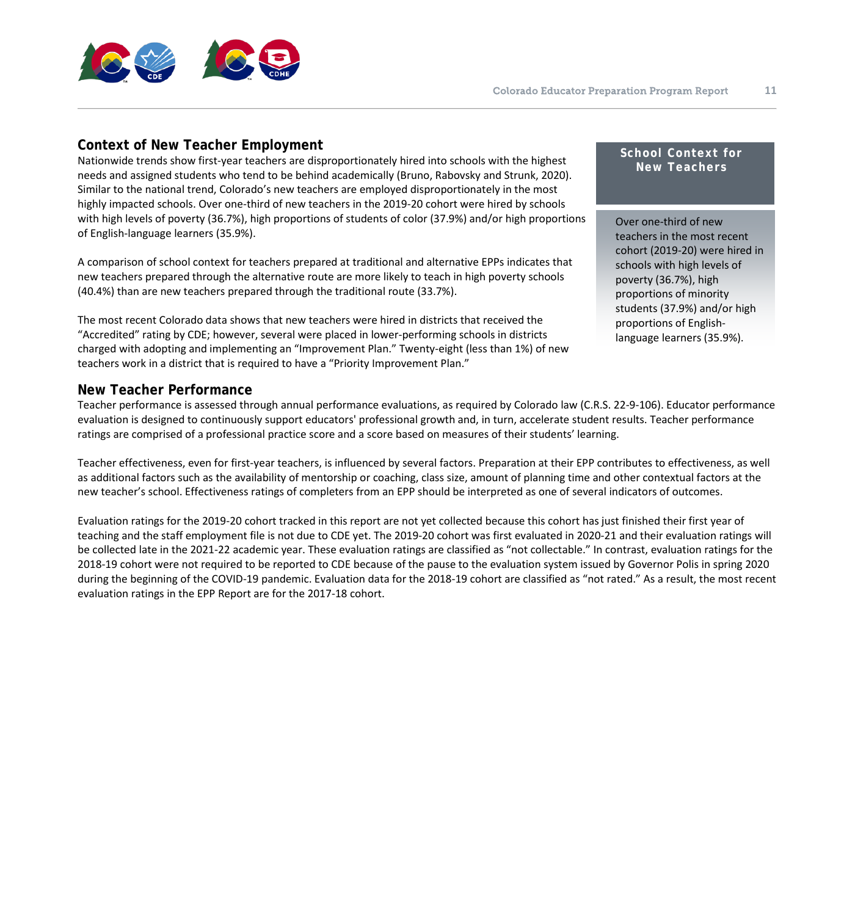

#### <span id="page-10-0"></span>**Context of New Teacher Employment**

Nationwide trends show first-year teachers are disproportionately hired into schools with the highest needs and assigned students who tend to be behind academically (Bruno, Rabovsky and Strunk, 2020). Similar to the national trend, Colorado's new teachers are employed disproportionately in the most highly impacted schools. Over one-third of new teachers in the 2019-20 cohort were hired by schools with high levels of poverty (36.7%), high proportions of students of color (37.9%) and/or high proportions of English-language learners (35.9%).

A comparison of school context for teachers prepared at traditional and alternative EPPs indicates that new teachers prepared through the alternative route are more likely to teach in high poverty schools (40.4%) than are new teachers prepared through the traditional route (33.7%).

The most recent Colorado data shows that new teachers were hired in districts that received the "Accredited" rating by CDE; however, several were placed in lower-performing schools in districts charged with adopting and implementing an "Improvement Plan." Twenty-eight (less than 1%) of new teachers work in a district that is required to have a "Priority Improvement Plan."

#### <span id="page-10-1"></span>**New Teacher Performance**

Teacher performance is assessed through annual performance evaluations, as required by Colorado law (C.R.S. 22-9-106). Educator performance evaluation is designed to continuously support educators' professional growth and, in turn, accelerate student results. Teacher performance ratings are comprised of a professional practice score and a score based on measures of their students' learning.

Teacher effectiveness, even for first-year teachers, is influenced by several factors. Preparation at their EPP contributes to effectiveness, as well as additional factors such as the availability of mentorship or coaching, class size, amount of planning time and other contextual factors at the new teacher's school. Effectiveness ratings of completers from an EPP should be interpreted as one of several indicators of outcomes.

Evaluation ratings for the 2019-20 cohort tracked in this report are not yet collected because this cohort has just finished their first year of teaching and the staff employment file is not due to CDE yet. The 2019-20 cohort was first evaluated in 2020-21 and their evaluation ratings will be collected late in the 2021-22 academic year. These evaluation ratings are classified as "not collectable." In contrast, evaluation ratings for the 2018-19 cohort were not required to be reported to CDE because of the pause to the evaluation system issued by Governor Polis in spring 2020 during the beginning of the COVID-19 pandemic. Evaluation data for the 2018-19 cohort are classified as "not rated." As a result, the most recent evaluation ratings in the EPP Report are for the 2017-18 cohort.

#### **School Context for New Teachers**

Over one-third of new teachers in the most recent cohort (2019-20) were hired in schools with high levels of poverty (36.7%), high proportions of minority students (37.9%) and/or high proportions of Englishlanguage learners (35.9%).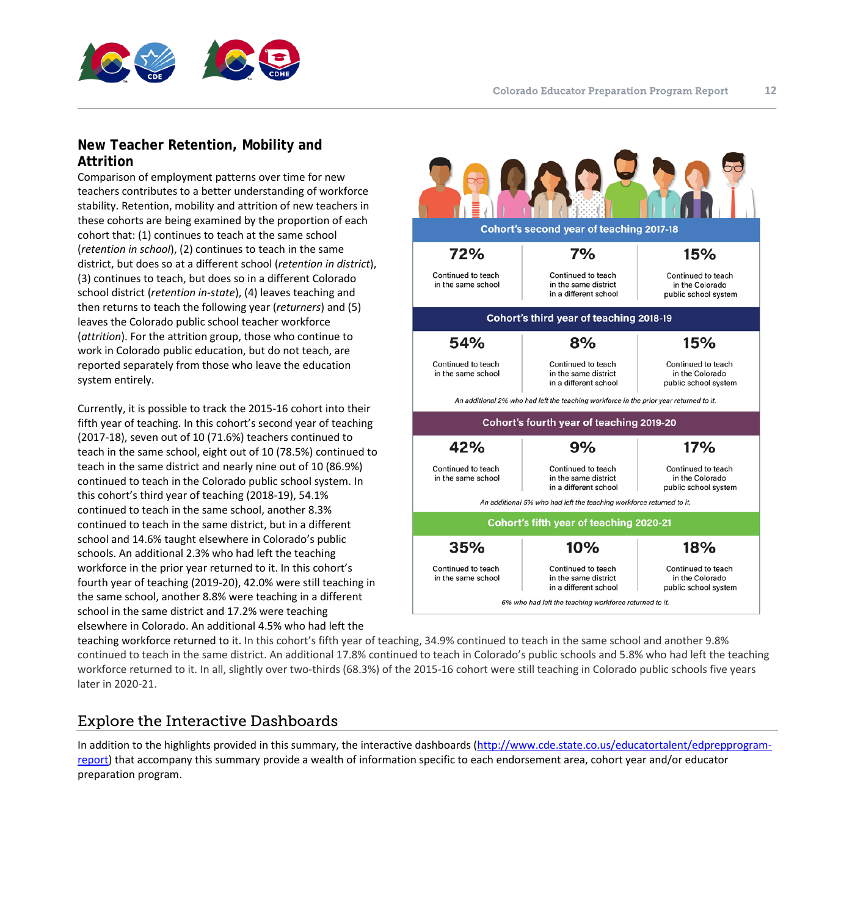



## <span id="page-11-0"></span>**New Teacher Retention, Mobility and Attrition**

Comparison of employment patterns over time for new teachers contributes to a better understanding of workforce stability. Retention, mobility and attrition of new teachers in these cohorts are being examined by the proportion of each cohort that: (1) continues to teach at the same school (*retention in school*), (2) continues to teach in the same district, but does so at a different school (*retention in district*), (3) continues to teach, but does so in a different Colorado school district (*retention in-state*), (4) leaves teaching and then returns to teach the following year (*returners*) and (5) leaves the Colorado public school teacher workforce (*attrition*). For the attrition group, those who continue to work in Colorado public education, but do not teach, are reported separately from those who leave the education system entirely.

Currently, it is possible to track the 2015-16 cohort into their fifth year of teaching. In this cohort's second year of teaching (2017-18), seven out of 10 (71.6%) teachers continued to teach in the same school, eight out of 10 (78.5%) continued to teach in the same district and nearly nine out of 10 (86.9%) continued to teach in the Colorado public school system. In this cohort's third year of teaching (2018-19), 54.1% continued to teach in the same school, another 8.3% continued to teach in the same district, but in a different school and 14.6% taught elsewhere in Colorado's public schools. An additional 2.3% who had left the teaching workforce in the prior year returned to it. In this cohort's fourth year of teaching (2019-20), 42.0% were still teaching in the same school, another 8.8% were teaching in a different school in the same district and 17.2% were teaching elsewhere in Colorado. An additional 4.5% who had left the



teaching workforce returned to it. In this cohort's fifth year of teaching, 34.9% continued to teach in the same school and another 9.8% continued to teach in the same district. An additional 17.8% continued to teach in Colorado's public schools and 5.8% who had left the teaching workforce returned to it. In all, slightly over two-thirds (68.3%) of the 2015-16 cohort were still teaching in Colorado public schools five years later in 2020-21.

## <span id="page-11-1"></span>Explore the Interactive Dashboards

In addition to the highlights provided in this summary, the interactive dashboards [\(http://www.cde.state.co.us/educatortalent/edprepprogram](http://www.cde.state.co.us/educatortalent/edprepprogram-report)[report\)](http://www.cde.state.co.us/educatortalent/edprepprogram-report) that accompany this summary provide a wealth of information specific to each endorsement area, cohort year and/or educator preparation program.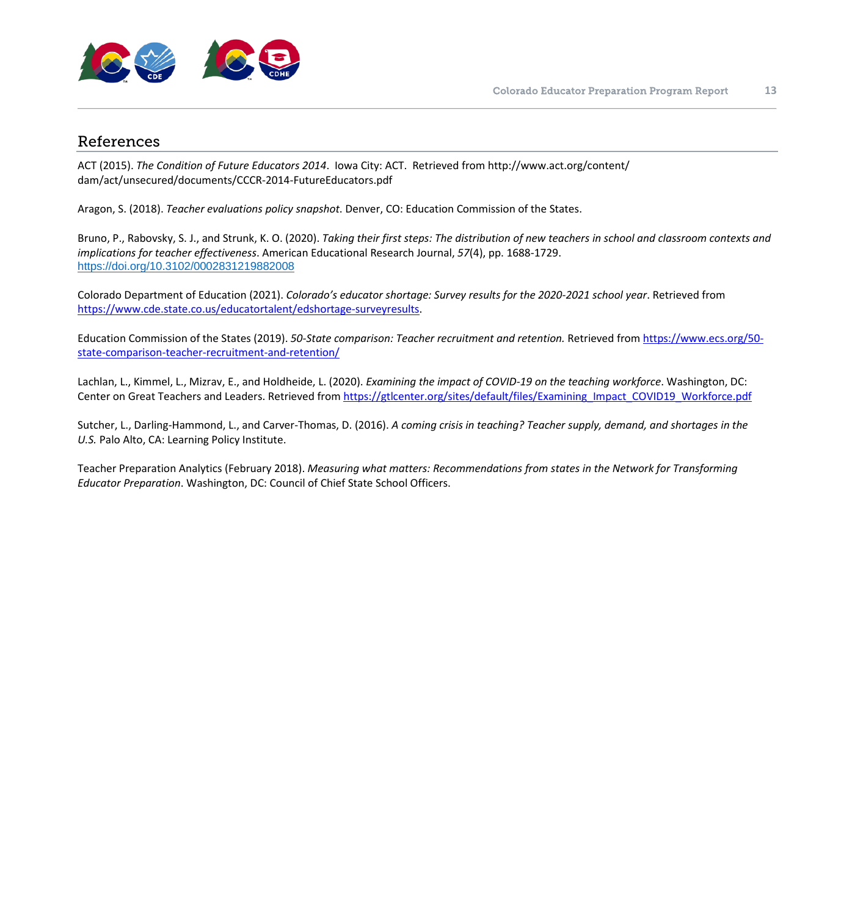

#### <span id="page-12-0"></span>References

ACT (2015). *The Condition of Future Educators 2014*. Iowa City: ACT. Retrieved from http://www.act.org/content/ dam/act/unsecured/documents/CCCR-2014-FutureEducators.pdf

Aragon, S. (2018). *Teacher evaluations policy snapshot*. Denver, CO: Education Commission of the States.

Bruno, P., Rabovsky, S. J., and Strunk, K. O. (2020). *Taking their first steps: The distribution of new teachers in school and classroom contexts and implications for teacher effectiveness*. American Educational Research Journal, *57*(4), pp. 1688-1729. [https://doi.org/10.3102/0002831219882008](https://doi.org/10.3102%2F0002831219882008)

Colorado Department of Education (2021). *Colorado's educator shortage: Survey results for the 2020-2021 school year*. Retrieved from [https://www.cde.state.co.us/educatortalent/edshortage-surveyresults.](https://www.cde.state.co.us/educatortalent/edshortage-surveyresults)

Education Commission of the States (2019). *50-State comparison: Teacher recruitment and retention.* Retrieved from [https://www.ecs.org/50](https://www.ecs.org/50-state-comparison-teacher-recruitment-and-retention/) [state-comparison-teacher-recruitment-and-retention/](https://www.ecs.org/50-state-comparison-teacher-recruitment-and-retention/)

Lachlan, L., Kimmel, L., Mizrav, E., and Holdheide, L. (2020). *Examining the impact of COVID-19 on the teaching workforce*. Washington, DC: Center on Great Teachers and Leaders. Retrieved from [https://gtlcenter.org/sites/default/files/Examining\\_Impact\\_COVID19\\_Workforce.pdf](https://gtlcenter.org/sites/default/files/Examining_Impact_COVID19_Workforce.pdf)

Sutcher, L., Darling-Hammond, L., and Carver-Thomas, D. (2016). *A coming crisis in teaching? Teacher supply, demand, and shortages in the U.S.* Palo Alto, CA: Learning Policy Institute.

Teacher Preparation Analytics (February 2018). *Measuring what matters: Recommendations from states in the Network for Transforming Educator Preparation*. Washington, DC: Council of Chief State School Officers.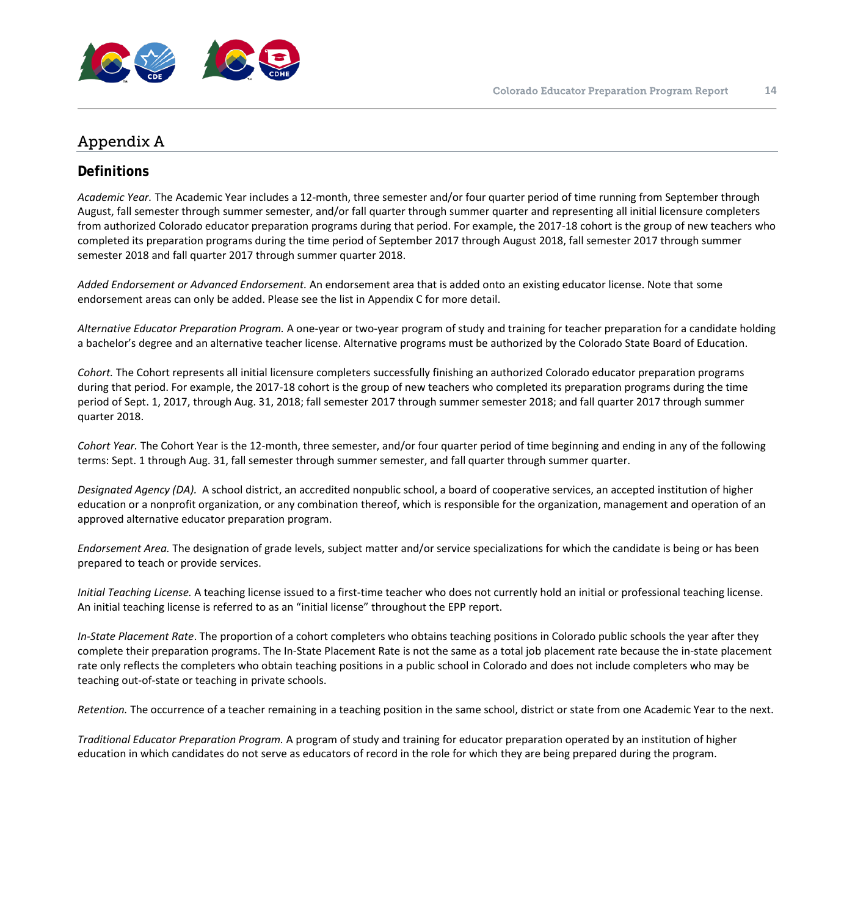

## <span id="page-13-0"></span>Appendix A

## <span id="page-13-1"></span>**Definitions**

*Academic Year.* The Academic Year includes a 12-month, three semester and/or four quarter period of time running from September through August, fall semester through summer semester, and/or fall quarter through summer quarter and representing all initial licensure completers from authorized Colorado educator preparation programs during that period. For example, the 2017-18 cohort is the group of new teachers who completed its preparation programs during the time period of September 2017 through August 2018, fall semester 2017 through summer semester 2018 and fall quarter 2017 through summer quarter 2018.

*Added Endorsement or Advanced Endorsement.* An endorsement area that is added onto an existing educator license. Note that some endorsement areas can only be added. Please see the list in Appendix C for more detail.

*Alternative Educator Preparation Program.* A one-year or two-year program of study and training for teacher preparation for a candidate holding a bachelor's degree and an alternative teacher license. Alternative programs must be authorized by the Colorado State Board of Education.

*Cohort.* The Cohort represents all initial licensure completers successfully finishing an authorized Colorado educator preparation programs during that period. For example, the 2017-18 cohort is the group of new teachers who completed its preparation programs during the time period of Sept. 1, 2017, through Aug. 31, 2018; fall semester 2017 through summer semester 2018; and fall quarter 2017 through summer quarter 2018.

*Cohort Year.* The Cohort Year is the 12-month, three semester, and/or four quarter period of time beginning and ending in any of the following terms: Sept. 1 through Aug. 31, fall semester through summer semester, and fall quarter through summer quarter.

*Designated Agency (DA).* A school district, an accredited nonpublic school, a board of cooperative services, an accepted institution of higher education or a nonprofit organization, or any combination thereof, which is responsible for the organization, management and operation of an approved alternative educator preparation program.

*Endorsement Area.* The designation of grade levels, subject matter and/or service specializations for which the candidate is being or has been prepared to teach or provide services.

*Initial Teaching License.* A teaching license issued to a first-time teacher who does not currently hold an initial or professional teaching license. An initial teaching license is referred to as an "initial license" throughout the EPP report.

*In-State Placement Rate*. The proportion of a cohort completers who obtains teaching positions in Colorado public schools the year after they complete their preparation programs. The In-State Placement Rate is not the same as a total job placement rate because the in-state placement rate only reflects the completers who obtain teaching positions in a public school in Colorado and does not include completers who may be teaching out-of-state or teaching in private schools.

*Retention.* The occurrence of a teacher remaining in a teaching position in the same school, district or state from one Academic Year to the next.

*Traditional Educator Preparation Program.* A program of study and training for educator preparation operated by an institution of higher education in which candidates do not serve as educators of record in the role for which they are being prepared during the program.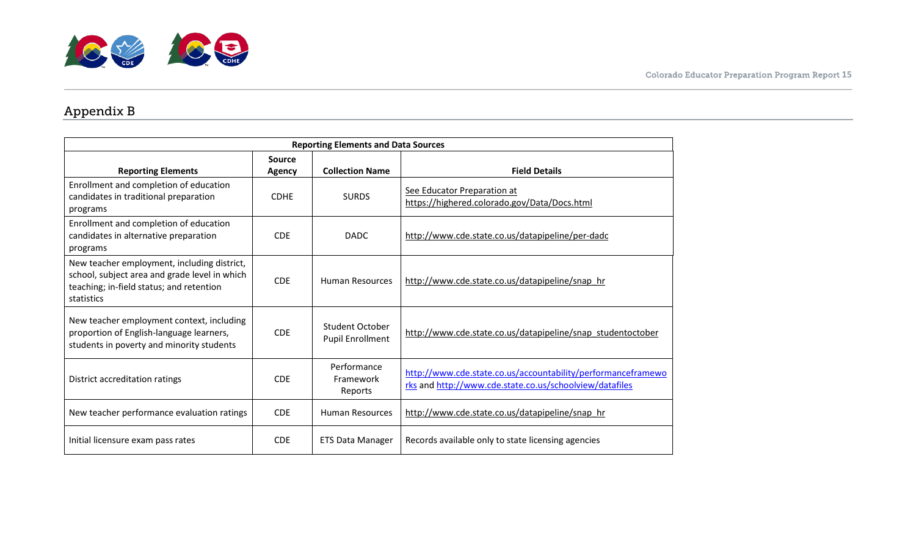## Appendix B

<span id="page-14-0"></span>

| <b>Reporting Elements and Data Sources</b>                                                                                                             |                         |                                                   |                                                                                                                         |
|--------------------------------------------------------------------------------------------------------------------------------------------------------|-------------------------|---------------------------------------------------|-------------------------------------------------------------------------------------------------------------------------|
| <b>Reporting Elements</b>                                                                                                                              | <b>Source</b><br>Agency | <b>Collection Name</b>                            | <b>Field Details</b>                                                                                                    |
| Enrollment and completion of education<br>candidates in traditional preparation<br>programs                                                            | <b>CDHE</b>             | <b>SURDS</b>                                      | See Educator Preparation at<br>https://highered.colorado.gov/Data/Docs.html                                             |
| Enrollment and completion of education<br>candidates in alternative preparation<br>programs                                                            | <b>CDE</b>              | <b>DADC</b>                                       | http://www.cde.state.co.us/datapipeline/per-dadc                                                                        |
| New teacher employment, including district,<br>school, subject area and grade level in which<br>teaching; in-field status; and retention<br>statistics | <b>CDE</b>              | <b>Human Resources</b>                            | http://www.cde.state.co.us/datapipeline/snap hr                                                                         |
| New teacher employment context, including<br>proportion of English-language learners,<br>students in poverty and minority students                     | <b>CDE</b>              | <b>Student October</b><br><b>Pupil Enrollment</b> | http://www.cde.state.co.us/datapipeline/snap_studentoctober                                                             |
| District accreditation ratings                                                                                                                         | <b>CDE</b>              | Performance<br>Framework<br>Reports               | http://www.cde.state.co.us/accountability/performanceframewo<br>rks and http://www.cde.state.co.us/schoolview/datafiles |
| New teacher performance evaluation ratings                                                                                                             | <b>CDE</b>              | Human Resources                                   | http://www.cde.state.co.us/datapipeline/snap hr                                                                         |
| Initial licensure exam pass rates                                                                                                                      | <b>CDE</b>              | <b>ETS Data Manager</b>                           | Records available only to state licensing agencies                                                                      |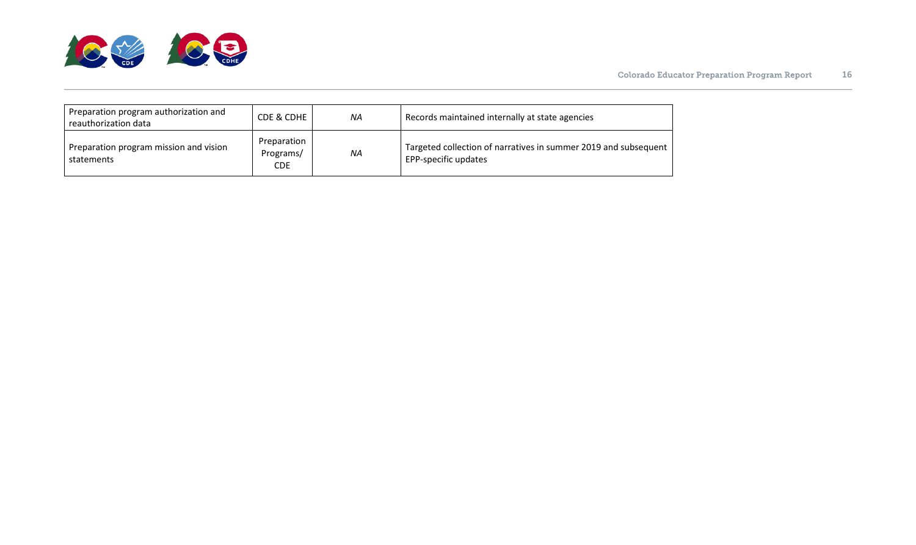

| Preparation program authorization and<br>reauthorization data | CDE & CDHE                             | ΝA        | Records maintained internally at state agencies                                         |
|---------------------------------------------------------------|----------------------------------------|-----------|-----------------------------------------------------------------------------------------|
| Preparation program mission and vision<br>statements          | Preparation<br>Programs/<br><b>CDE</b> | <b>NA</b> | Targeted collection of narratives in summer 2019 and subsequent<br>EPP-specific updates |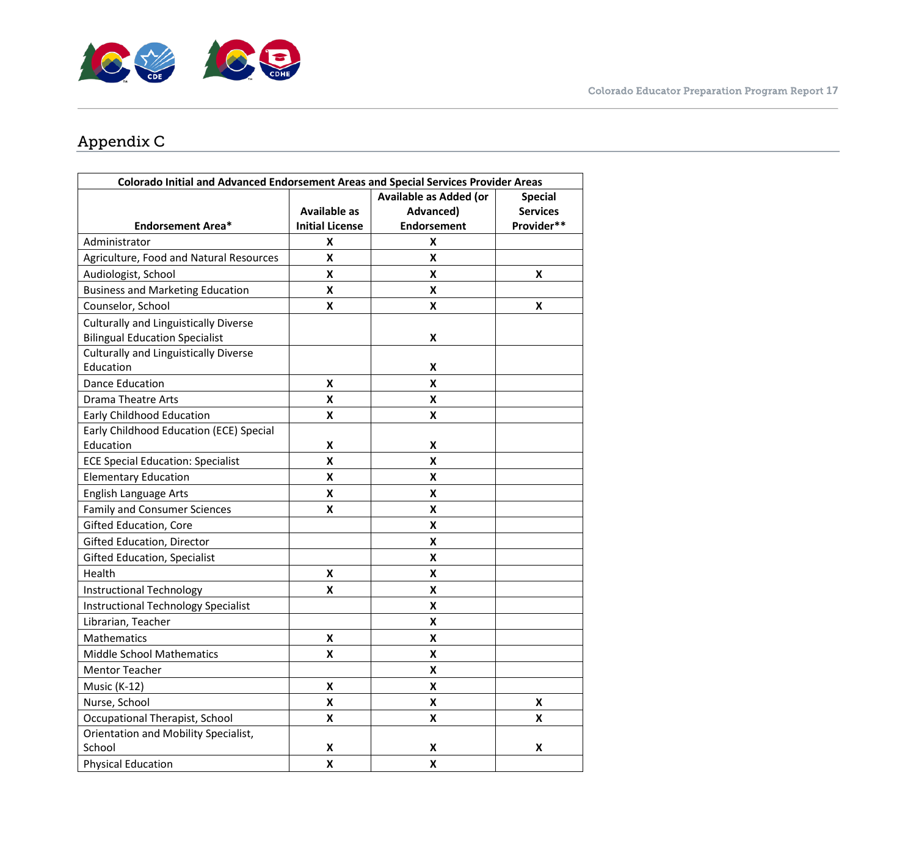

## Appendix C

<span id="page-16-0"></span>

| <b>Colorado Initial and Advanced Endorsement Areas and Special Services Provider Areas</b> |                        |                               |                    |
|--------------------------------------------------------------------------------------------|------------------------|-------------------------------|--------------------|
|                                                                                            |                        | <b>Available as Added (or</b> | <b>Special</b>     |
|                                                                                            | <b>Available as</b>    | Advanced)                     | <b>Services</b>    |
| <b>Endorsement Area*</b>                                                                   | <b>Initial License</b> | <b>Endorsement</b>            | Provider**         |
| Administrator                                                                              | X                      | X                             |                    |
| Agriculture, Food and Natural Resources                                                    | X                      | X                             |                    |
| Audiologist, School                                                                        | X                      | X                             | X                  |
| <b>Business and Marketing Education</b>                                                    | $\pmb{\mathsf{X}}$     | X                             |                    |
| Counselor, School                                                                          | Χ                      | X                             | X                  |
| <b>Culturally and Linguistically Diverse</b>                                               |                        |                               |                    |
| <b>Bilingual Education Specialist</b>                                                      |                        | X                             |                    |
| <b>Culturally and Linguistically Diverse</b>                                               |                        |                               |                    |
| Education                                                                                  |                        | X                             |                    |
| <b>Dance Education</b>                                                                     | X                      | X                             |                    |
| <b>Drama Theatre Arts</b>                                                                  | X                      | X                             |                    |
| <b>Early Childhood Education</b>                                                           | X                      | X                             |                    |
| Early Childhood Education (ECE) Special                                                    |                        |                               |                    |
| Education                                                                                  | X                      | X                             |                    |
| <b>ECE Special Education: Specialist</b>                                                   | X                      | X                             |                    |
| <b>Elementary Education</b>                                                                | X                      | X                             |                    |
| English Language Arts                                                                      | X                      | X                             |                    |
| <b>Family and Consumer Sciences</b>                                                        | X                      | X                             |                    |
| Gifted Education, Core                                                                     |                        | X                             |                    |
| <b>Gifted Education, Director</b>                                                          |                        | X                             |                    |
| <b>Gifted Education, Specialist</b>                                                        |                        | X                             |                    |
| Health                                                                                     | $\pmb{\mathsf{X}}$     | X                             |                    |
| Instructional Technology                                                                   | X                      | X                             |                    |
| <b>Instructional Technology Specialist</b>                                                 |                        | X                             |                    |
| Librarian, Teacher                                                                         |                        | X                             |                    |
| <b>Mathematics</b>                                                                         | Χ                      | X                             |                    |
| <b>Middle School Mathematics</b>                                                           | Χ                      | Χ                             |                    |
| <b>Mentor Teacher</b>                                                                      |                        | X                             |                    |
| Music (K-12)                                                                               | X                      | X                             |                    |
| Nurse, School                                                                              | Χ                      | X                             | X                  |
| Occupational Therapist, School                                                             | X                      | $\mathbf x$                   | $\pmb{\mathsf{X}}$ |
| Orientation and Mobility Specialist,                                                       |                        |                               |                    |
| School                                                                                     | X                      | X                             | X                  |
| <b>Physical Education</b>                                                                  | X                      | X                             |                    |